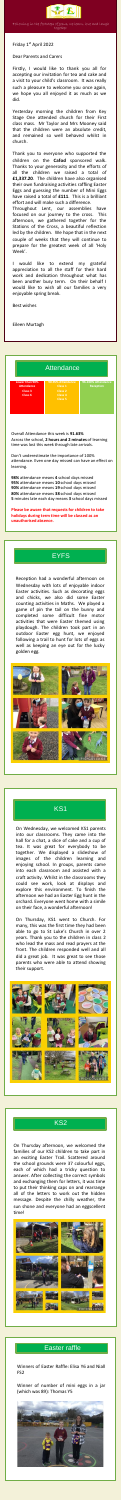.



Following in the footsteps of Jesus, we learn, love and laugh together

Friday 1 st April 2022

Dear Parents and Carers

Firstly, I would like to thank you all for accepting our invitation for tea and cake and a visit to your child's classroom. It was really such a pleasure to welcome you once again, we hope you all enjoyed it as much as we did.

Yesterday morning the children from Key Stage One attended church for their First class mass. Mr Taylor and Mrs Mooney said that the children were an absolute credit, and remained so well behaved whilst in church.

Thank you to everyone who supported the children on the **Cafod** sponsored walk. Thanks to your generosity and the efforts of all the children we raised a total of **£1,337.20**. The children have also organised their own fundraising activities raffling Easter Eggs and guessing the number of Mini Eggs have raised a total of **£111**. This is a brilliant effort and will make such a difference. Throughout Lent, our assemblies have focused on our journey to the cross. This afternoon, we gathered together for the Stations of the Cross, a beautiful reflection

led by the children. We hope that in the next couple of weeks that they will continue to prepare for the greatest week of all 'Holy Week'.

I would like to extend my grateful appreciation to all the staff for their hard work and dedication throughout what has been another busy term. On their behalf I would like to wish all our families a very enjoyable spring break.

Best wishes

Eileen Murtagh



Overall Attendance this week is **91.63%** Across the school, **2 hours and 2 minutes** of learning time was lost this week through late arrivals.

Don't underestimate the importance of 100% attendance. Even one day missed can have an effect on learning.

**98%** attendance means **4** school days missed **95%** attendance means **10** school days missed **90%** attendance means **19** school days missed **80%** attendance means **38** school days missed **5** minutes late each day means **3** school days missed

**Please be aware that requests for children to take holidays during term time will be classed as an unauthorised absence.**

### **EYFS**

Reception had a wonderful afternoon on Wednesday with lots of enjoyable indoor Easter activities. Such as decorating eggs and chicks, we also did some Easter counting activities in Maths. We played a game of pin the tail on the bunny and completed some difficult fine motor activities that were Easter themed using playdough. The children took part in an outdoor Easter egg hunt, we enjoyed following a trail to hunt for lots of eggs as well as keeping an eye out for the lucky golden egg.



### KS1

On Wednesday, we welcomed KS1 parents into our classrooms. They came into the hall for a chat, a slice of cake and a cup of tea. It was great for everybody to be together. We displayed a slideshow of images of the children learning and enjoying school. In groups, parents came into each classroom and assisted with a craft activity. Whilst in the classrooms they could see work, look at displays and explore this environment. To finish the afternoon we had an Easter Egg hunt in the orchard. Everyone went home with a simile on their face, a wonderful afternoon!

On Thursday, KS1 went to Church. For many, this was the first time they had been able to go to St Luke's Church in over 2 years. Thank you to the children in class 2 who lead the mass and read prayers at the front. The children responded well and all did a great job. It was great to see those parents who were able to attend showing their support.







#### Easter raffle

Winners of Easter Raffle: Elisa Y6 and Niall FS2

Winner of number of mini eggs in a jar (which was 89): Thomas Y5